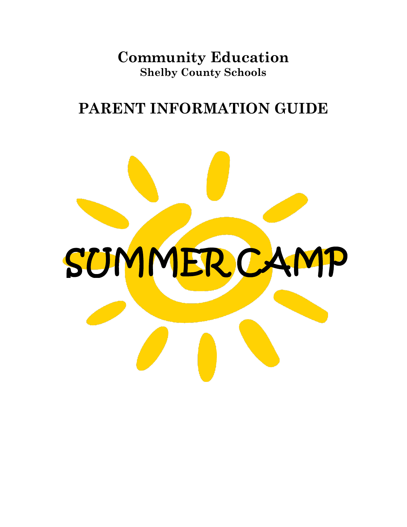**Community Education Shelby County Schools**

# **PARENT INFORMATION GUIDE**

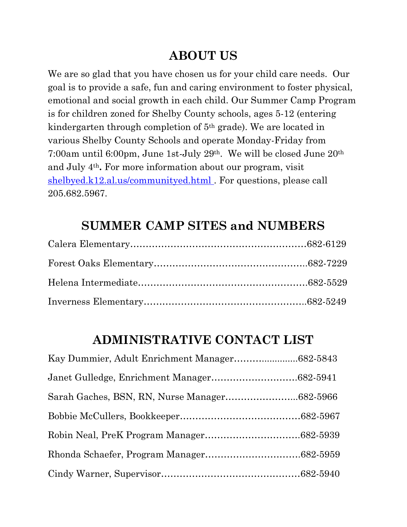## **ABOUT US**

We are so glad that you have chosen us for your child care needs. Our goal is to provide a safe, fun and caring environment to foster physical, emotional and social growth in each child. Our Summer Camp Program is for children zoned for Shelby County schools, ages 5-12 (entering kindergarten through completion of 5th grade). We are located in various Shelby County Schools and operate Monday-Friday from 7:00am until 6:00pm, June 1st-July 29th. We will be closed June 20th and July 4th**.** For more information about our program, visit [shelbyed.k12.al.us/communityed.html .](https://www.shelbyed.k12.al.us/communityed.html) For questions, please call 205.682.5967.

## **SUMMER CAMP SITES and NUMBERS**

## **ADMINISTRATIVE CONTACT LIST**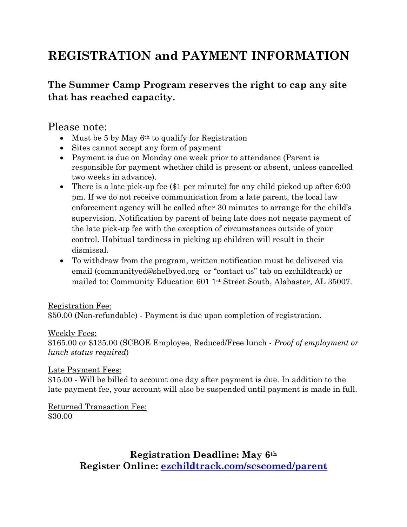# **REGISTRATION and PAYMENT INFORMATION**

#### **The Summer Camp Program reserves the right to cap any site that has reached capacity.**

#### Please note:

- $\bullet$  Must be 5 by May 6<sup>th</sup> to qualify for Registration
- Sites cannot accept any form of payment
- Payment is due on Monday one week prior to attendance (Parent is responsible for payment whether child is present or absent, unless cancelled two weeks in advance).
- There is a late pick-up fee (\$1 per minute) for any child picked up after 6:00 pm. If we do not receive communication from a late parent, the local law enforcement agency will be called after 30 minutes to arrange for the child's supervision. Notification by parent of being late does not negate payment of the late pick-up fee with the exception of circumstances outside of your control. Habitual tardiness in picking up children will result in their dismissal.
- To withdraw from the program, written notification must be delivered via email [\(communityed@shelbyed.org](mailto:communityed@shelbyed.org) or "contact us" tab on ezchildtrack) or mailed to: Community Education 601 1st Street South, Alabaster, AL 35007.

#### Registration Fee:

\$50.00 (Non-refundable) - Payment is due upon completion of registration.

#### Weekly Fees:

\$165.00 or \$135.00 (SCBOE Employee, Reduced/Free lunch - *Proof of employment or lunch status required*)

#### Late Payment Fees:

\$15.00 - Will be billed to account one day after payment is due. In addition to the late payment fee, your account will also be suspended until payment is made in full.

Returned Transaction Fee: \$30.00

> **Registration Deadline: May 6th Register Online:<ezchildtrack.com/scscomed/parent>**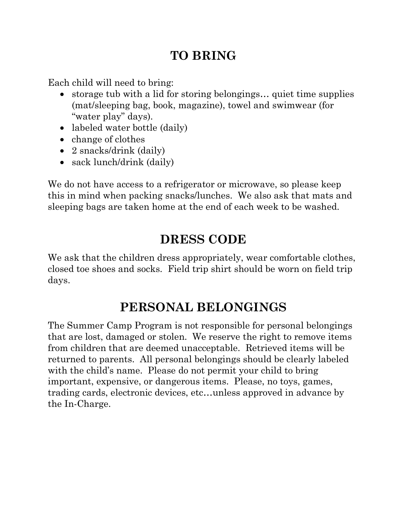## **TO BRING**

Each child will need to bring:

- storage tub with a lid for storing belongings… quiet time supplies (mat/sleeping bag, book, magazine), towel and swimwear (for "water play" days).
- labeled water bottle (daily)
- change of clothes
- 2 snacks/drink (daily)
- sack lunch/drink (daily)

We do not have access to a refrigerator or microwave, so please keep this in mind when packing snacks/lunches. We also ask that mats and sleeping bags are taken home at the end of each week to be washed.

# **DRESS CODE**

We ask that the children dress appropriately, wear comfortable clothes, closed toe shoes and socks. Field trip shirt should be worn on field trip days.

# **PERSONAL BELONGINGS**

The Summer Camp Program is not responsible for personal belongings that are lost, damaged or stolen. We reserve the right to remove items from children that are deemed unacceptable. Retrieved items will be returned to parents. All personal belongings should be clearly labeled with the child's name. Please do not permit your child to bring important, expensive, or dangerous items. Please, no toys, games, trading cards, electronic devices, etc…unless approved in advance by the In-Charge.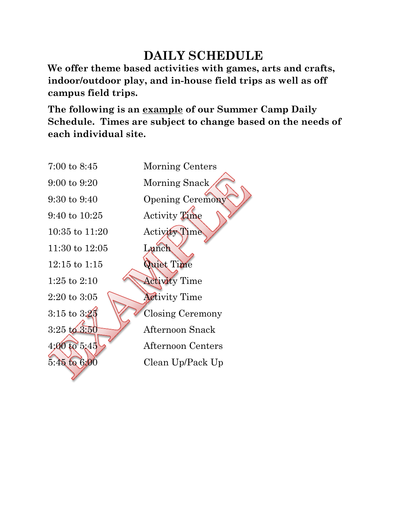# **DAILY SCHEDULE**

**We offer theme based activities with games, arts and crafts, indoor/outdoor play, and in-house field trips as well as off campus field trips.** 

**The following is an example of our Summer Camp Daily Schedule. Times are subject to change based on the needs of each individual site.**

| $7:00$ to $8:45$                            | Morning Centers          |
|---------------------------------------------|--------------------------|
| $9:00 \text{ to } 9:20$                     | Morning Snack            |
| $9:30 \text{ to } 9:40$                     | <b>Opening Ceremony</b>  |
| $9:40 \text{ to } 10:25$                    | Activity Time            |
| $10:35$ to $11:20$                          | Activity Time            |
| 11:30 to $12:05$                            | Lanch                    |
| $12:15$ to $1:15$                           | Quiet Time               |
| 1:25 to $2:10$                              | <b>Activity Time</b>     |
| $2\mathord{:}20 \text{ to } 3\mathord{:}05$ | <b>Activity Time</b>     |
| $3:15$ to $3:25$                            | <b>Closing Ceremony</b>  |
| $3:25 \text{ to } 3:50$                     | Afternoon Snack          |
| 4:000005:45                                 | <b>Afternoon Centers</b> |
| $5:45 \text{ to } 6:00$                     | Clean Up/Pack Up         |
|                                             |                          |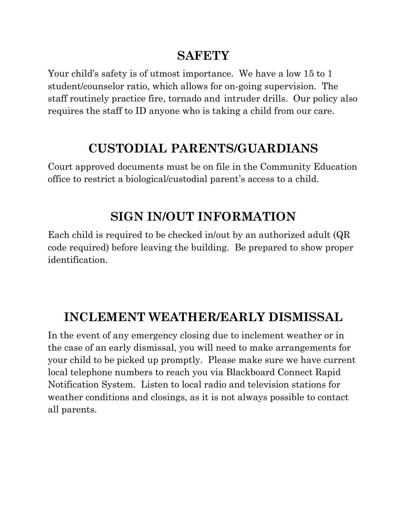## **SAFETY**

Your child's safety is of utmost importance. We have a low 15 to 1 student/counselor ratio, which allows for on-going supervision. The staff routinely practice fire, tornado and intruder drills. Our policy also requires the staff to ID anyone who is taking a child from our care.

# **CUSTODIAL PARENTS/GUARDIANS**

Court approved documents must be on file in the Community Education office to restrict a biological/custodial parent's access to a child.

# **SIGN IN/OUT INFORMATION**

Each child is required to be checked in/out by an authorized adult (QR code required) before leaving the building. Be prepared to show proper identification.

## **INCLEMENT WEATHER/EARLY DISMISSAL**

In the event of any emergency closing due to inclement weather or in the case of an early dismissal, you will need to make arrangements for your child to be picked up promptly. Please make sure we have current local telephone numbers to reach you via Blackboard Connect Rapid Notification System. Listen to local radio and television stations for weather conditions and closings, as it is not always possible to contact all parents.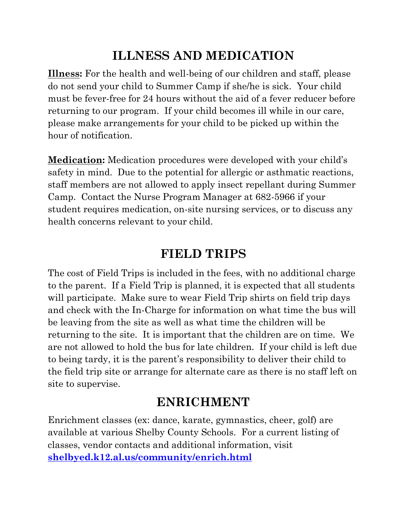# **ILLNESS AND MEDICATION**

**Illness:** For the health and well-being of our children and staff, please do not send your child to Summer Camp if she/he is sick. Your child must be fever-free for 24 hours without the aid of a fever reducer before returning to our program. If your child becomes ill while in our care, please make arrangements for your child to be picked up within the hour of notification.

**Medication:** Medication procedures were developed with your child's safety in mind. Due to the potential for allergic or asthmatic reactions, staff members are not allowed to apply insect repellant during Summer Camp. Contact the Nurse Program Manager at 682-5966 if your student requires medication, on-site nursing services, or to discuss any health concerns relevant to your child.

## **FIELD TRIPS**

The cost of Field Trips is included in the fees, with no additional charge to the parent. If a Field Trip is planned, it is expected that all students will participate. Make sure to wear Field Trip shirts on field trip days and check with the In-Charge for information on what time the bus will be leaving from the site as well as what time the children will be returning to the site. It is important that the children are on time. We are not allowed to hold the bus for late children. If your child is left due to being tardy, it is the parent's responsibility to deliver their child to the field trip site or arrange for alternate care as there is no staff left on site to supervise.

## **ENRICHMENT**

Enrichment classes (ex: dance, karate, gymnastics, cheer, golf) are available at various Shelby County Schools. For a current listing of classes, vendor contacts and additional information, visit **[shelbyed.k12.al.us/community/enrich.html](https://www.shelbyed.k12.al.us/community/enrich.html)**